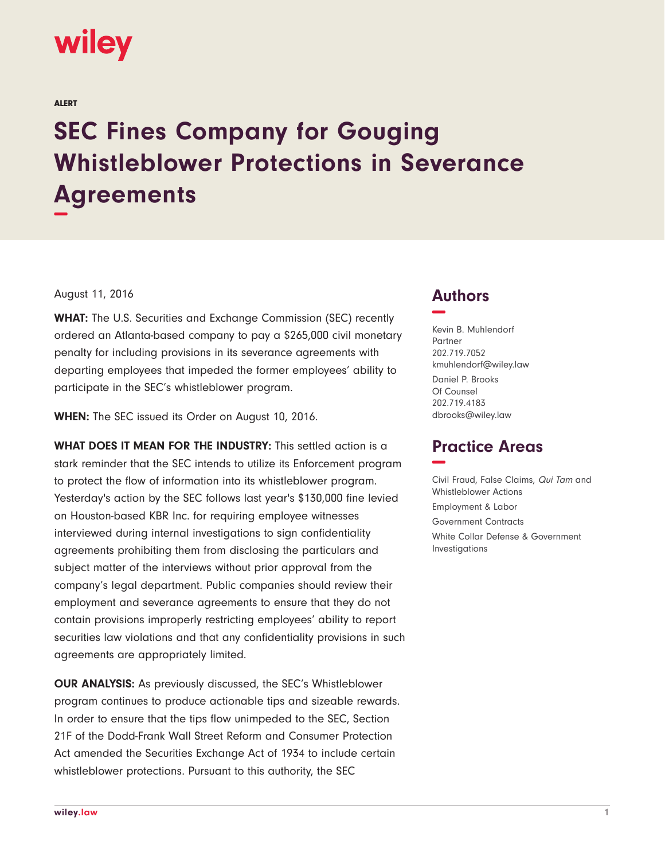

ALERT

## **SEC Fines Company for Gouging Whistleblower Protections in Severance Agreements −**

August 11, 2016

**WHAT:** The U.S. Securities and Exchange Commission (SEC) recently ordered an Atlanta-based company to pay a \$265,000 civil monetary penalty for including provisions in its severance agreements with departing employees that impeded the former employees' ability to participate in the SEC's whistleblower program.

**WHEN:** The SEC issued its Order on August 10, 2016.

**WHAT DOES IT MEAN FOR THE INDUSTRY:** This settled action is a stark reminder that the SEC intends to utilize its Enforcement program to protect the flow of information into its whistleblower program. Yesterday's action by the SEC follows last year's \$130,000 fine levied on Houston-based KBR Inc. for requiring employee witnesses interviewed during internal investigations to sign confidentiality agreements prohibiting them from disclosing the particulars and subject matter of the interviews without prior approval from the company's legal department. Public companies should review their employment and severance agreements to ensure that they do not contain provisions improperly restricting employees' ability to report securities law violations and that any confidentiality provisions in such agreements are appropriately limited.

**OUR ANALYSIS:** As previously discussed, the SEC's Whistleblower program continues to produce actionable tips and sizeable rewards. In order to ensure that the tips flow unimpeded to the SEC, Section 21F of the Dodd-Frank Wall Street Reform and Consumer Protection Act amended the Securities Exchange Act of 1934 to include certain whistleblower protections. Pursuant to this authority, the SEC

## **Authors −**

Kevin B. Muhlendorf Partner 202.719.7052 kmuhlendorf@wiley.law Daniel P. Brooks Of Counsel 202.719.4183 dbrooks@wiley.law

## **Practice Areas −**

Civil Fraud, False Claims, Qui Tam and Whistleblower Actions Employment & Labor Government Contracts White Collar Defense & Government Investigations